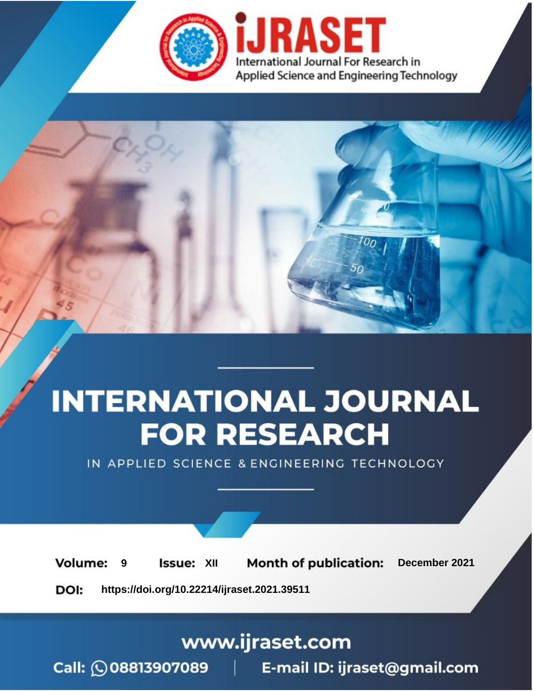



IN APPLIED SCIENCE & ENGINEERING TECHNOLOGY

**9 Issue:** XII **Month of publication:** December 2021 **Volume: https://doi.org/10.22214/ijraset.2021.39511**DOI:

www.ijraset.com

Call: 008813907089 | E-mail ID: ijraset@gmail.com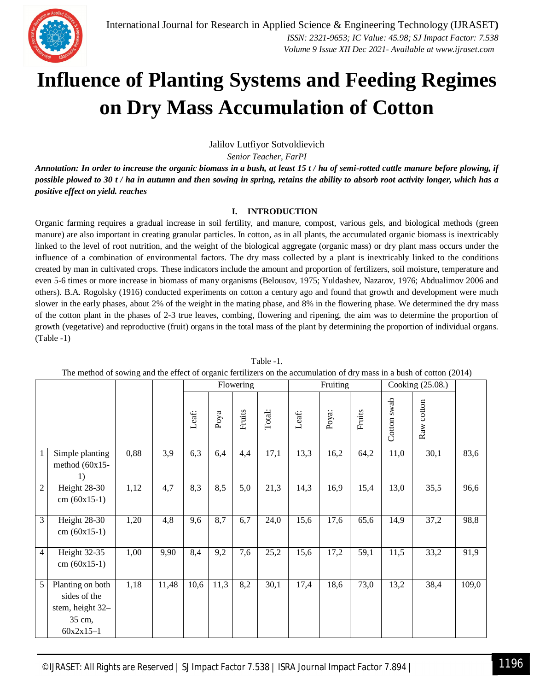

Jalilov Lutfiyor Sotvoldievich

*Senior Teacher, FarPI*

*Annotation: In order to increase the organic biomass in a bush, at least 15 t / ha of semi-rotted cattle manure before plowing, if possible plowed to 30 t / ha in autumn and then sowing in spring, retains the ability to absorb root activity longer, which has a positive effect on yield. reaches*

## **I. INTRODUCTION**

Organic farming requires a gradual increase in soil fertility, and manure, compost, various gels, and biological methods (green manure) are also important in creating granular particles. In cotton, as in all plants, the accumulated organic biomass is inextricably linked to the level of root nutrition, and the weight of the biological aggregate (organic mass) or dry plant mass occurs under the influence of a combination of environmental factors. The dry mass collected by a plant is inextricably linked to the conditions created by man in cultivated crops. These indicators include the amount and proportion of fertilizers, soil moisture, temperature and even 5-6 times or more increase in biomass of many organisms (Belousov, 1975; Yuldashev, Nazarov, 1976; Abdualimov 2006 and others). B.A. Rogolsky (1916) conducted experiments on cotton a century ago and found that growth and development were much slower in the early phases, about 2% of the weight in the mating phase, and 8% in the flowering phase. We determined the dry mass of the cotton plant in the phases of 2-3 true leaves, combing, flowering and ripening, the aim was to determine the proportion of growth (vegetative) and reproductive (fruit) organs in the total mass of the plant by determining the proportion of individual organs. (Table -1)

| The method of sowing and the effect of organic fertilizers on the accumulation of dry mass in a bush of cotton (2014) |                                                                               |      |       |       |           |        |        |          |       |                  |             |            |       |
|-----------------------------------------------------------------------------------------------------------------------|-------------------------------------------------------------------------------|------|-------|-------|-----------|--------|--------|----------|-------|------------------|-------------|------------|-------|
|                                                                                                                       |                                                                               |      |       |       | Flowering |        |        | Fruiting |       | Cooking (25.08.) |             |            |       |
|                                                                                                                       |                                                                               |      |       | Leaf: | Poya      | Fruits | Total: | Leaf:    | Poya: | Fruits           | Cotton swab | Raw cotton |       |
| 1                                                                                                                     | Simple planting<br>method $(60x15 -$<br>1)                                    | 0,88 | 3,9   | 6,3   | 6,4       | 4,4    | 17,1   | 13,3     | 16,2  | 64,2             | 11,0        | 30,1       | 83,6  |
| $\overline{2}$                                                                                                        | Height 28-30<br>$cm (60x15-1)$                                                | 1,12 | 4,7   | 8,3   | 8,5       | 5,0    | 21,3   | 14,3     | 16,9  | 15,4             | 13,0        | 35,5       | 96,6  |
| 3                                                                                                                     | Height 28-30<br>$cm (60x15-1)$                                                | 1,20 | 4,8   | 9,6   | 8,7       | 6,7    | 24,0   | 15,6     | 17,6  | 65,6             | 14,9        | 37,2       | 98,8  |
| 4                                                                                                                     | Height 32-35<br>$cm (60x15-1)$                                                | 1,00 | 9,90  | 8,4   | 9,2       | 7,6    | 25,2   | 15,6     | 17,2  | 59,1             | 11,5        | 33,2       | 91,9  |
| 5                                                                                                                     | Planting on both<br>sides of the<br>stem, height 32-<br>35 cm,<br>$60x2x15-1$ | 1,18 | 11,48 | 10,6  | 11,3      | 8,2    | 30,1   | 17,4     | 18,6  | 73,0             | 13,2        | 38,4       | 109,0 |

Table -1.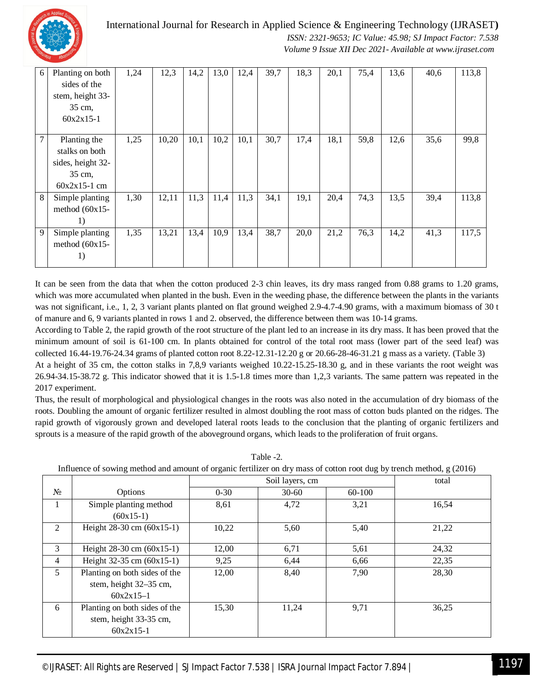

International Journal for Research in Applied Science & Engineering Technology (IJRASET**)**

 *ISSN: 2321-9653; IC Value: 45.98; SJ Impact Factor: 7.538 Volume 9 Issue XII Dec 2021- Available at www.ijraset.com*

| 6 | Planting on both<br>sides of the<br>stem, height 33-                            | 1,24 | 12,3  | 14,2 | 13,0 | 12,4 | 39,7 | 18,3 | 20,1 | 75,4 | 13,6 | 40,6 | 113,8 |
|---|---------------------------------------------------------------------------------|------|-------|------|------|------|------|------|------|------|------|------|-------|
|   | 35 cm,<br>$60x2x15-1$                                                           |      |       |      |      |      |      |      |      |      |      |      |       |
| 7 | Planting the<br>stalks on both<br>sides, height 32-<br>35 cm,<br>$60x2x15-1$ cm | 1,25 | 10,20 | 10,1 | 10,2 | 10,1 | 30,7 | 17,4 | 18,1 | 59,8 | 12,6 | 35,6 | 99,8  |
| 8 | Simple planting<br>method $(60x15 -$<br>1)                                      | 1,30 | 12,11 | 11,3 | 11,4 | 11,3 | 34,1 | 19,1 | 20,4 | 74,3 | 13,5 | 39,4 | 113,8 |
| 9 | Simple planting<br>method $(60x15 -$<br>1)                                      | 1,35 | 13,21 | 13,4 | 10,9 | 13,4 | 38,7 | 20,0 | 21,2 | 76,3 | 14,2 | 41,3 | 117,5 |

It can be seen from the data that when the cotton produced 2-3 chin leaves, its dry mass ranged from 0.88 grams to 1.20 grams, which was more accumulated when planted in the bush. Even in the weeding phase, the difference between the plants in the variants was not significant, i.e., 1, 2, 3 variant plants planted on flat ground weighed 2.9-4.7-4.90 grams, with a maximum biomass of 30 t of manure and 6, 9 variants planted in rows 1 and 2. observed, the difference between them was 10-14 grams.

According to Table 2, the rapid growth of the root structure of the plant led to an increase in its dry mass. It has been proved that the minimum amount of soil is 61-100 cm. In plants obtained for control of the total root mass (lower part of the seed leaf) was collected 16.44-19.76-24.34 grams of planted cotton root 8.22-12.31-12.20 g or 20.66-28-46-31.21 g mass as a variety. (Table 3)

At a height of 35 cm, the cotton stalks in 7,8,9 variants weighed 10.22-15.25-18.30 g, and in these variants the root weight was 26.94-34.15-38.72 g. This indicator showed that it is 1.5-1.8 times more than 1,2,3 variants. The same pattern was repeated in the 2017 experiment.

Thus, the result of morphological and physiological changes in the roots was also noted in the accumulation of dry biomass of the roots. Doubling the amount of organic fertilizer resulted in almost doubling the root mass of cotton buds planted on the ridges. The rapid growth of vigorously grown and developed lateral roots leads to the conclusion that the planting of organic fertilizers and sprouts is a measure of the rapid growth of the aboveground organs, which leads to the proliferation of fruit organs.

|                |                                                                        |          |           | total  |       |
|----------------|------------------------------------------------------------------------|----------|-----------|--------|-------|
| $N_2$          | Options                                                                | $0 - 30$ | $30 - 60$ | 60-100 |       |
|                | Simple planting method<br>$(60x15-1)$                                  | 8,61     | 4,72      | 3,21   | 16,54 |
| 2              | Height $28-30$ cm $(60x15-1)$                                          | 10,22    | 5,60      | 5,40   | 21,22 |
| 3              | Height $28-30$ cm $(60x15-1)$                                          | 12,00    | 6,71      | 5,61   | 24,32 |
| $\overline{4}$ | Height $32-35$ cm $(60x15-1)$                                          | 9,25     | 6,44      | 6,66   | 22,35 |
| 5              | Planting on both sides of the<br>stem, height 32–35 cm,<br>$60x2x15-1$ | 12,00    | 8,40      | 7,90   | 28,30 |
| 6              | Planting on both sides of the<br>stem, height 33-35 cm,<br>$60x2x15-1$ | 15,30    | 11,24     | 9,71   | 36,25 |

Table -2.

Influence of sowing method and amount of organic fertilizer on dry mass of cotton root dug by trench method, g (2016)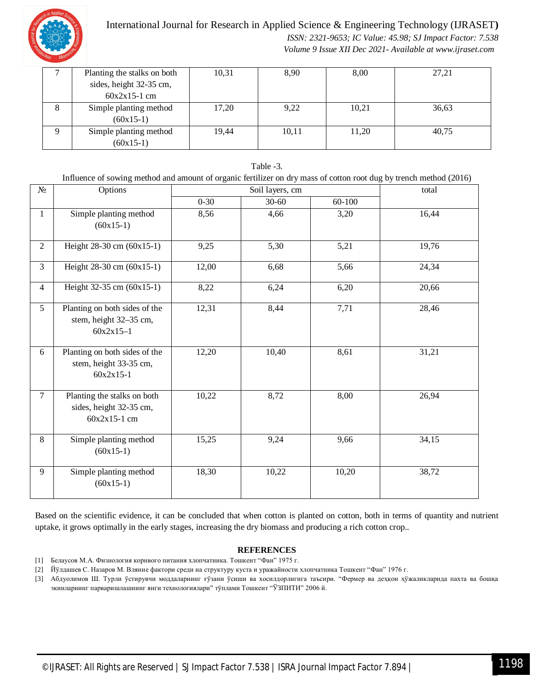

## International Journal for Research in Applied Science & Engineering Technology (IJRASET**)**

 *ISSN: 2321-9653; IC Value: 45.98; SJ Impact Factor: 7.538 Volume 9 Issue XII Dec 2021- Available at www.ijraset.com*

|   | Planting the stalks on both | 10,31 | 8,90  | 8,00  | 27,21 |
|---|-----------------------------|-------|-------|-------|-------|
|   | sides, height 32-35 cm,     |       |       |       |       |
|   | $60x2x15-1$ cm              |       |       |       |       |
| 8 | Simple planting method      | 17,20 | 9,22  | 10,21 | 36,63 |
|   | $(60x15-1)$                 |       |       |       |       |
|   | Simple planting method      | 19,44 | 10,11 | 11,20 | 40,75 |
|   | $(60x15-1)$                 |       |       |       |       |

| Influence of sowing method and amount of organic fertilizer on dry mass of cotton root dug by trench method (2016) |                                                                          |          |                 |            |       |  |  |  |  |
|--------------------------------------------------------------------------------------------------------------------|--------------------------------------------------------------------------|----------|-----------------|------------|-------|--|--|--|--|
| $N_{\!}\Omega$                                                                                                     | Options                                                                  |          | Soil layers, cm |            |       |  |  |  |  |
|                                                                                                                    |                                                                          | $0 - 30$ | $30 - 60$       | $60 - 100$ |       |  |  |  |  |
| $\mathbf{1}$                                                                                                       | Simple planting method<br>$(60x15-1)$                                    | 8,56     | 4,66            | 3,20       | 16,44 |  |  |  |  |
| $\overline{2}$                                                                                                     | Height 28-30 cm (60x15-1)                                                | 9,25     | 5,30            | 5,21       | 19,76 |  |  |  |  |
| $\overline{3}$                                                                                                     | Height 28-30 cm (60x15-1)                                                | 12,00    | 6,68            | 5,66       | 24,34 |  |  |  |  |
| $\overline{4}$                                                                                                     | Height 32-35 cm (60x15-1)                                                | 8,22     | 6,24            | 6,20       | 20,66 |  |  |  |  |
| $5\overline{)}$                                                                                                    | Planting on both sides of the<br>stem, height 32-35 cm,<br>$60x2x15-1$   | 12,31    | 8,44            | 7,71       | 28,46 |  |  |  |  |
| 6                                                                                                                  | Planting on both sides of the<br>stem, height 33-35 cm,<br>$60x2x15-1$   | 12,20    | 10,40           | 8,61       | 31,21 |  |  |  |  |
| $\tau$                                                                                                             | Planting the stalks on both<br>sides, height 32-35 cm,<br>$60x2x15-1$ cm | 10,22    | 8,72            | 8,00       | 26,94 |  |  |  |  |
| 8                                                                                                                  | Simple planting method<br>$(60x15-1)$                                    | 15,25    | 9,24            | 9,66       | 34,15 |  |  |  |  |
| 9                                                                                                                  | Simple planting method<br>$(60x15-1)$                                    | 18,30    | 10,22           | 10,20      | 38,72 |  |  |  |  |

Table -3.

Based on the scientific evidence, it can be concluded that when cotton is planted on cotton, both in terms of quantity and nutrient uptake, it grows optimally in the early stages, increasing the dry biomass and producing a rich cotton crop..

## **REFERENCES**

- [1] Белаусов М.А. Физиология корнвого питания хлопчатника. Тошкент "Фан" 1975 г.
- [2] Йўлдашев С. Назаров М. Вляние фактори среди на структуру куста и уражайности хлопчатника Тошкент "Фан" 1976 г.

[3] Абдуолимов Ш. Турли ўстирувчи моддаларнинг ғўзани ўсиши ва хосилдорлигига таъсири. "Фермер ва деҳқон ҳўжаликларида пахта ва бошқа экинларнинг парваришлашнинг янги технологиялари" тўплами Тошкент "ЎЗПИТИ" 2006 й.